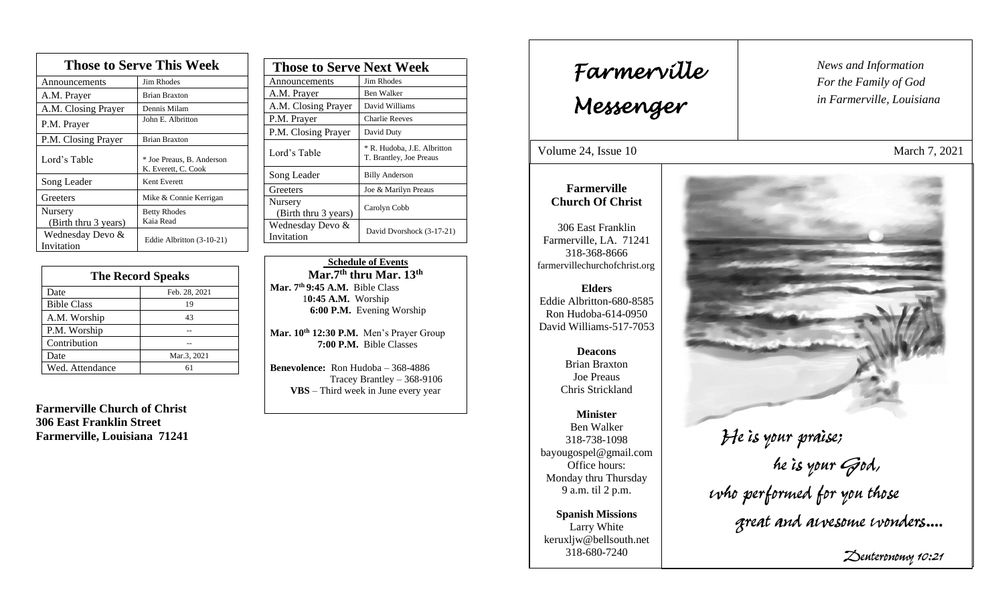| <b>Those to Serve This Week</b> |                                                  |
|---------------------------------|--------------------------------------------------|
| Announcements                   | <b>Jim Rhodes</b>                                |
| A.M. Prayer                     | <b>Brian Braxton</b>                             |
| A.M. Closing Prayer             | Dennis Milam                                     |
| P.M. Prayer                     | John E. Albritton                                |
| P.M. Closing Prayer             | <b>Brian Braxton</b>                             |
| Lord's Table                    | * Joe Preaus, B. Anderson<br>K. Everett, C. Cook |
| Song Leader                     | Kent Everett                                     |
| Greeters                        | Mike & Connie Kerrigan                           |
| Nursery<br>(Birth thru 3 years) | <b>Betty Rhodes</b><br>Kaia Read                 |
| Wednesday Devo &<br>Invitation  | Eddie Albritton (3-10-21)                        |

| <b>The Record Speaks</b> |               |
|--------------------------|---------------|
| Date                     | Feb. 28, 2021 |
| <b>Bible Class</b>       | 19            |
| A.M. Worship             | 43            |
| P.M. Worship             |               |
| Contribution             |               |
| Date                     | Mar.3, 2021   |
| Wed. Attendance          | 61            |

**Farmerville Church of Christ 306 East Franklin Street Farmerville, Louisiana 71241**

| <b>Those to Serve Next Week</b> |                                                        |
|---------------------------------|--------------------------------------------------------|
| Announcements                   | Jim Rhodes                                             |
| A.M. Prayer                     | Ben Walker                                             |
| A.M. Closing Prayer             | David Williams                                         |
| P.M. Prayer                     | <b>Charlie Reeves</b>                                  |
| P.M. Closing Prayer             | David Duty                                             |
| Lord's Table                    | * R. Hudoba, J.E. Albritton<br>T. Brantley, Joe Preaus |
| Song Leader                     | <b>Billy Anderson</b>                                  |
| Greeters                        | Joe & Marilyn Preaus                                   |
| Nursery<br>(Birth thru 3 years) | Carolyn Cobb                                           |
| Wednesday Devo &<br>Invitation  | David Dvorshock (3-17-21)                              |

 **Schedule of Events Mar.7th thru Mar. 13th Mar. 7 th 9:45 A.M.** Bible Class 1**0:45 A.M.** Worship  **6:00 P.M.** Evening Worship

**Mar. 10th 12:30 P.M.** Men's Prayer Group **7:00 P.M.** Bible Classes

**Benevolence:** Ron Hudoba – 368-4886 Tracey Brantley – 368-9106 **VBS** – Third week in June every year

*News and Information* **Farmerville**  $\parallel$  News and *For the Family of God in Farmerville, Louisiana Messenger*  Volume 24, Issue 10 March 7, 2021 , 2015 **Farmerville Church Of Christ** 306 East Franklin Farmerville, LA. 71241 318-368-8666 farmervillechurchofchrist.org **Elders** Eddie Albritton-680-8585 Ron Hudoba-614-0950 David Williams-517-7053 **Deacons**  Brian Braxton Joe Preaus Chris Strickland **Minister** Ben Walker He is your praise;<br>he is your God, 318-738-1098 bayougospel@gmail.com Office hours: Monday thru Thursday who performed for you those 9 a.m. til 2 p.m. **Spanish Missions** great and aivesome ivonders.... Larry White keruxljw@bellsouth.net 318-680-7240 Denteronomy 10:21